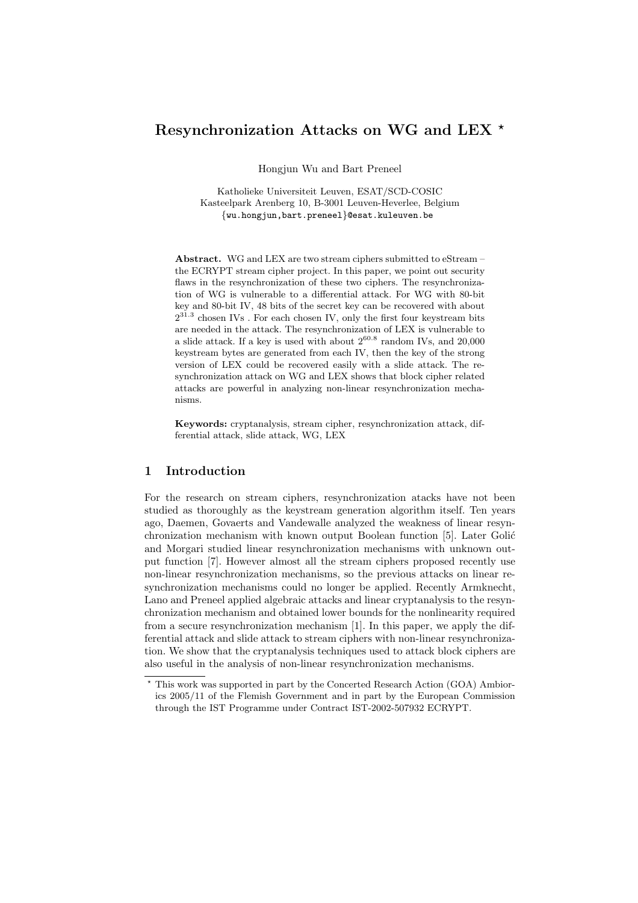# Resynchronization Attacks on WG and LEX  $^{\star}$

Hongjun Wu and Bart Preneel

Katholieke Universiteit Leuven, ESAT/SCD-COSIC Kasteelpark Arenberg 10, B-3001 Leuven-Heverlee, Belgium {wu.hongjun,bart.preneel}@esat.kuleuven.be

Abstract. WG and LEX are two stream ciphers submitted to eStream – the ECRYPT stream cipher project. In this paper, we point out security flaws in the resynchronization of these two ciphers. The resynchronization of WG is vulnerable to a differential attack. For WG with 80-bit key and 80-bit IV, 48 bits of the secret key can be recovered with about  $2^{31.3}$  chosen IVs. For each chosen IV, only the first four keystream bits are needed in the attack. The resynchronization of LEX is vulnerable to a slide attack. If a key is used with about  $2^{60.8}$  random IVs, and  $20,000$ keystream bytes are generated from each IV, then the key of the strong version of LEX could be recovered easily with a slide attack. The resynchronization attack on WG and LEX shows that block cipher related attacks are powerful in analyzing non-linear resynchronization mechanisms.

Keywords: cryptanalysis, stream cipher, resynchronization attack, differential attack, slide attack, WG, LEX

### 1 Introduction

For the research on stream ciphers, resynchronization atacks have not been studied as thoroughly as the keystream generation algorithm itself. Ten years ago, Daemen, Govaerts and Vandewalle analyzed the weakness of linear resynchronization mechanism with known output Boolean function [5]. Later Golić and Morgari studied linear resynchronization mechanisms with unknown output function [7]. However almost all the stream ciphers proposed recently use non-linear resynchronization mechanisms, so the previous attacks on linear resynchronization mechanisms could no longer be applied. Recently Armknecht, Lano and Preneel applied algebraic attacks and linear cryptanalysis to the resynchronization mechanism and obtained lower bounds for the nonlinearity required from a secure resynchronization mechanism [1]. In this paper, we apply the differential attack and slide attack to stream ciphers with non-linear resynchronization. We show that the cryptanalysis techniques used to attack block ciphers are also useful in the analysis of non-linear resynchronization mechanisms.

<sup>?</sup> This work was supported in part by the Concerted Research Action (GOA) Ambiorics 2005/11 of the Flemish Government and in part by the European Commission through the IST Programme under Contract IST-2002-507932 ECRYPT.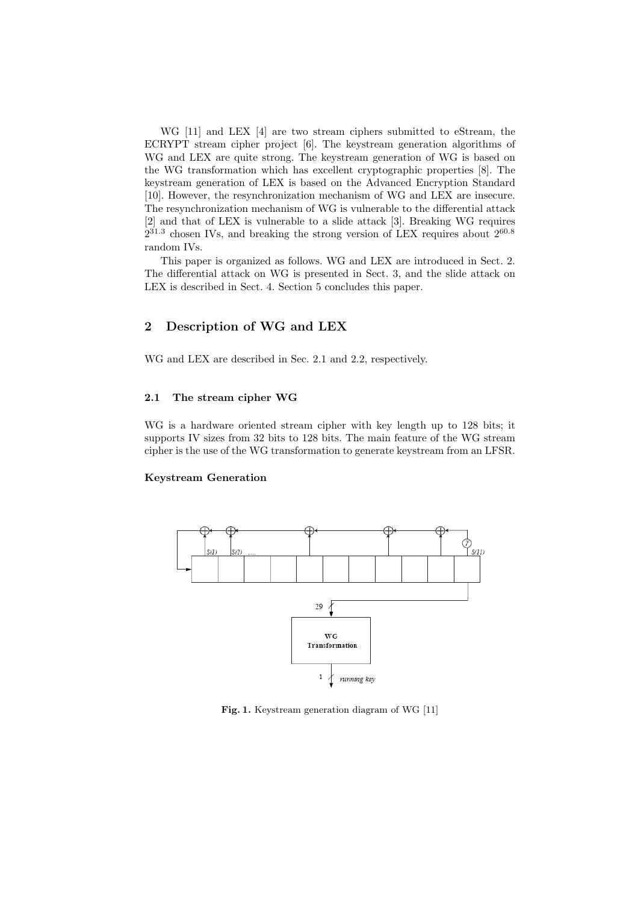WG [11] and LEX [4] are two stream ciphers submitted to eStream, the ECRYPT stream cipher project [6]. The keystream generation algorithms of WG and LEX are quite strong. The keystream generation of WG is based on the WG transformation which has excellent cryptographic properties [8]. The keystream generation of LEX is based on the Advanced Encryption Standard [10]. However, the resynchronization mechanism of WG and LEX are insecure. The resynchronization mechanism of WG is vulnerable to the differential attack [2] and that of LEX is vulnerable to a slide attack [3]. Breaking WG requires  $2^{31.3}$  chosen IVs, and breaking the strong version of LEX requires about  $2^{60.8}$ random IVs.

This paper is organized as follows. WG and LEX are introduced in Sect. 2. The differential attack on WG is presented in Sect. 3, and the slide attack on LEX is described in Sect. 4. Section 5 concludes this paper.

# 2 Description of WG and LEX

WG and LEX are described in Sec. 2.1 and 2.2, respectively.

### 2.1 The stream cipher WG

WG is a hardware oriented stream cipher with key length up to 128 bits; it supports IV sizes from 32 bits to 128 bits. The main feature of the WG stream cipher is the use of the WG transformation to generate keystream from an LFSR.

#### Keystream Generation



Fig. 1. Keystream generation diagram of WG [11]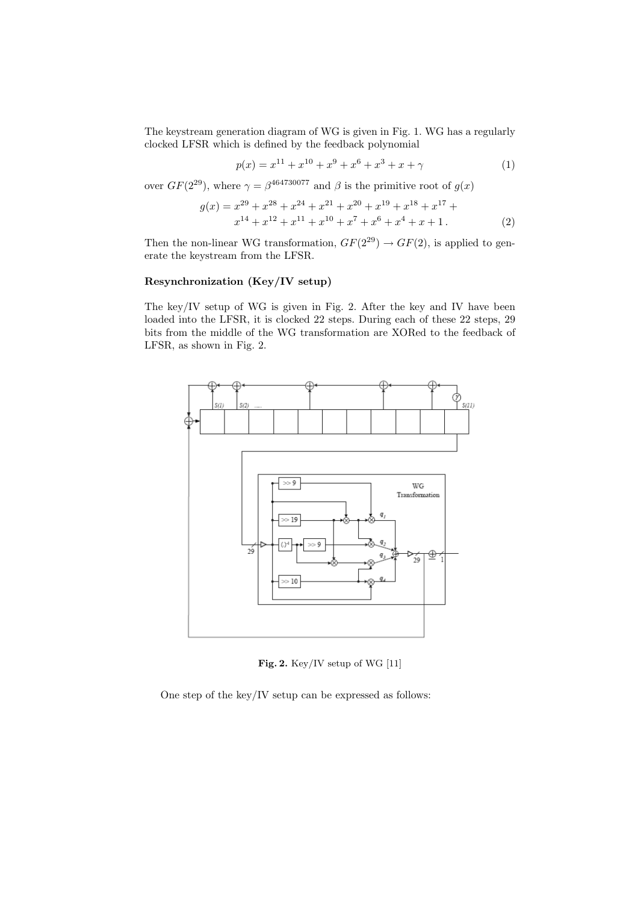The keystream generation diagram of WG is given in Fig. 1. WG has a regularly clocked LFSR which is defined by the feedback polynomial

$$
p(x) = x^{11} + x^{10} + x^9 + x^6 + x^3 + x + \gamma \tag{1}
$$

over  $GF(2^{29})$ , where  $\gamma = \beta^{464730077}$  and  $\beta$  is the primitive root of  $g(x)$ 

$$
g(x) = x^{29} + x^{28} + x^{24} + x^{21} + x^{20} + x^{19} + x^{18} + x^{17} + x^{14} + x^{12} + x^{11} + x^{10} + x^7 + x^6 + x^4 + x + 1.
$$
 (2)

Then the non-linear WG transformation,  $GF(2^{29}) \rightarrow GF(2)$ , is applied to generate the keystream from the LFSR.

## Resynchronization (Key/IV setup)

The key/IV setup of WG is given in Fig. 2. After the key and IV have been loaded into the LFSR, it is clocked 22 steps. During each of these 22 steps, 29 bits from the middle of the WG transformation are XORed to the feedback of LFSR, as shown in Fig. 2.



Fig. 2. Key/IV setup of WG [11]

One step of the key/IV setup can be expressed as follows: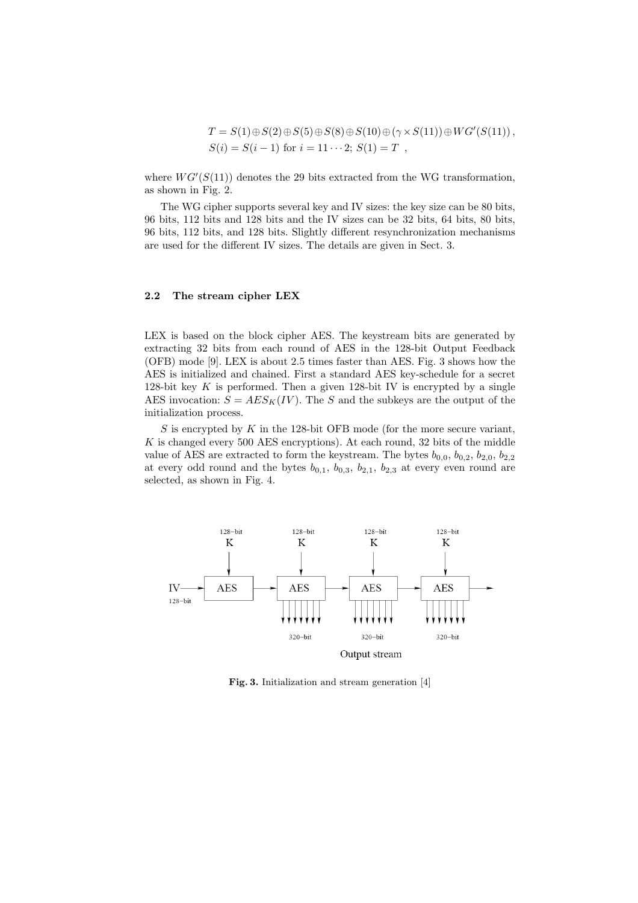$$
T = S(1) \oplus S(2) \oplus S(5) \oplus S(8) \oplus S(10) \oplus (\gamma \times S(11)) \oplus WG'(S(11)),
$$
  
\n
$$
S(i) = S(i-1) \text{ for } i = 11 \cdots 2; S(1) = T,
$$

where  $WG'(S(11))$  denotes the 29 bits extracted from the WG transformation, as shown in Fig. 2.

The WG cipher supports several key and IV sizes: the key size can be 80 bits, 96 bits, 112 bits and 128 bits and the IV sizes can be 32 bits, 64 bits, 80 bits, 96 bits, 112 bits, and 128 bits. Slightly different resynchronization mechanisms are used for the different IV sizes. The details are given in Sect. 3.

#### 2.2 The stream cipher LEX

LEX is based on the block cipher AES. The keystream bits are generated by extracting 32 bits from each round of AES in the 128-bit Output Feedback (OFB) mode [9]. LEX is about 2.5 times faster than AES. Fig. 3 shows how the AES is initialized and chained. First a standard AES key-schedule for a secret 128-bit key  $K$  is performed. Then a given 128-bit IV is encrypted by a single AES invocation:  $S = AES_K(IV)$ . The S and the subkeys are the output of the initialization process.

S is encrypted by  $K$  in the 128-bit OFB mode (for the more secure variant, K is changed every 500 AES encryptions). At each round, 32 bits of the middle value of AES are extracted to form the keystream. The bytes  $b_{0,0}, b_{0,2}, b_{2,0}, b_{2,2}$ at every odd round and the bytes  $b_{0,1}$ ,  $b_{0,3}$ ,  $b_{2,1}$ ,  $b_{2,3}$  at every even round are selected, as shown in Fig. 4.



Fig. 3. Initialization and stream generation [4]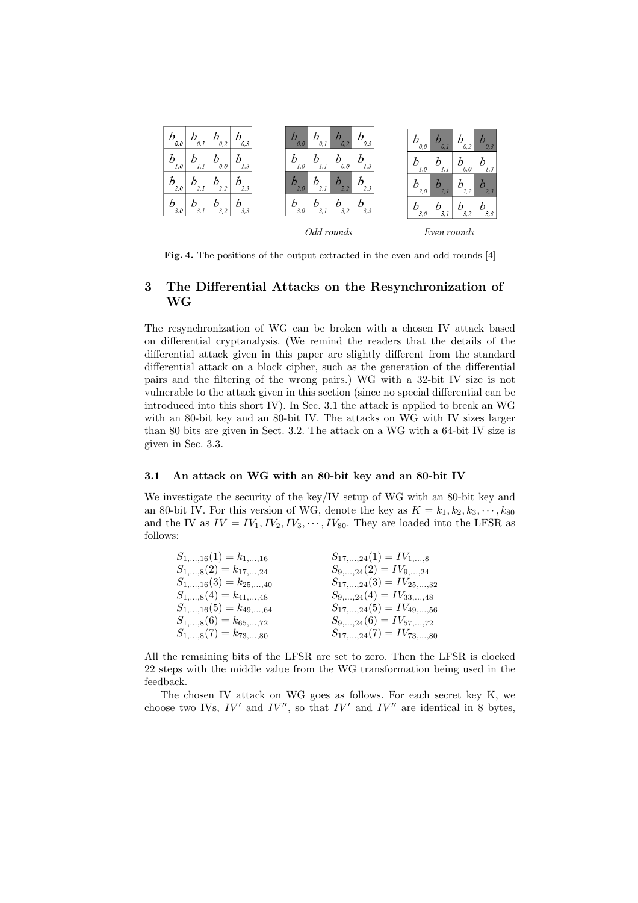

Fig. 4. The positions of the output extracted in the even and odd rounds [4]

# 3 The Differential Attacks on the Resynchronization of WG

The resynchronization of WG can be broken with a chosen IV attack based on differential cryptanalysis. (We remind the readers that the details of the differential attack given in this paper are slightly different from the standard differential attack on a block cipher, such as the generation of the differential pairs and the filtering of the wrong pairs.) WG with a 32-bit IV size is not vulnerable to the attack given in this section (since no special differential can be introduced into this short IV). In Sec. 3.1 the attack is applied to break an WG with an 80-bit key and an 80-bit IV. The attacks on WG with IV sizes larger than 80 bits are given in Sect. 3.2. The attack on a WG with a 64-bit IV size is given in Sec. 3.3.

### 3.1 An attack on WG with an 80-bit key and an 80-bit IV

We investigate the security of the key/IV setup of WG with an 80-bit key and an 80-bit IV. For this version of WG, denote the key as  $K = k_1, k_2, k_3, \cdots, k_{80}$ and the IV as  $IV = IV_1, IV_2, IV_3, \cdots, IV_{80}$ . They are loaded into the LFSR as follows:

| $S_{1,\dots,16}(1) = k_{1,\dots,16}$ | $S_{17,\dots,24}(1) = IV_{1,\dots,8}$   |
|--------------------------------------|-----------------------------------------|
| $S_{1,,8}(2) = k_{17,,24}$           | $S_{9,\dots,24}(2) = IV_{9,\dots,24}$   |
| $S_{1,,16}(3) = k_{25,,40}$          | $S_{17,\dots,24}(3) = IV_{25,\dots,32}$ |
| $S_{1,,8}(4) = k_{41,,48}$           | $S_{9,\dots,24}(4) = IV_{33,\dots,48}$  |
| $S_{1,,16}(5) = k_{49,,64}$          | $S_{17,,24}(5) = IV_{49,,56}$           |
| $S_{1,,8}(6) = k_{65,,72}$           | $S_{9,,24}(6) = IV_{57,,72}$            |
| $S_{1,,8}(7) = k_{73,,80}$           | $S_{17,\dots,24}(7) = IV_{73,\dots,80}$ |

All the remaining bits of the LFSR are set to zero. Then the LFSR is clocked 22 steps with the middle value from the WG transformation being used in the feedback.

The chosen IV attack on WG goes as follows. For each secret key K, we choose two IVs,  $IV'$  and  $IV''$ , so that  $IV'$  and  $IV''$  are identical in 8 bytes,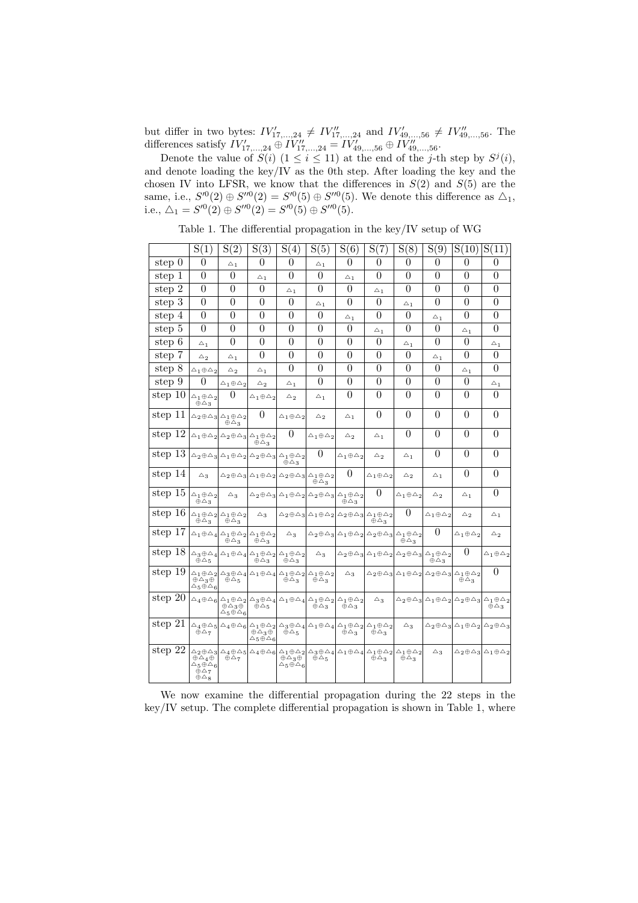but differ in two bytes:  $IV'_{17,...,24} \neq IV''_{17,...,24}$  and  $IV'_{49,...,56} \neq IV''_{49,...,56}$ . The differences satisfy  $IV'_{17,...,24} \oplus IV''_{17,...,24} = IV'_{49,...,56} \oplus IV''_{49,...,56}$ .

Denote the value of  $S(i)$   $(1 \leq i \leq 11)$  at the end of the j-th step by  $S^{j}(i)$ , and denote loading the key/IV as the 0th step. After loading the key and the chosen IV into LFSR, we know that the differences in  $S(2)$  and  $S(5)$  are the same, i.e.,  $S^{0}(2) \oplus S^{0}(2) = S^{0}(5) \oplus S^{0}(5)$ . We denote this difference as  $\Delta_1$ , i.e.,  $\Delta_1 = S^{\prime 0}(2) \oplus S^{\prime \prime 0}(2) = S^{\prime 0}(5) \oplus S^{\prime \prime 0}(5)$ .

Table 1. The differential propagation in the key/IV setup of WG

|             | S(1)                                                                                                      | S(2)                                                                         | S(3)                                                                                                                                                                                                                                                         | $\bar{S}(4)$                                                 | S(5)                                                                                                      | S(6)                       | S(7)                                                                                                      | S(8)                       | S(9)                                                                                                      | S(10)                      | S(11)                                                                                                                             |
|-------------|-----------------------------------------------------------------------------------------------------------|------------------------------------------------------------------------------|--------------------------------------------------------------------------------------------------------------------------------------------------------------------------------------------------------------------------------------------------------------|--------------------------------------------------------------|-----------------------------------------------------------------------------------------------------------|----------------------------|-----------------------------------------------------------------------------------------------------------|----------------------------|-----------------------------------------------------------------------------------------------------------|----------------------------|-----------------------------------------------------------------------------------------------------------------------------------|
| step 0      | $\overline{0}$                                                                                            | $\bigtriangleup_1$                                                           | $\theta$                                                                                                                                                                                                                                                     | $\overline{0}$                                               | $\triangle_1$                                                                                             | $\overline{0}$             | $\overline{0}$                                                                                            | $\overline{0}$             | $\overline{0}$                                                                                            | $\theta$                   | $\theta$                                                                                                                          |
| step 1      | $\overline{0}$                                                                                            | $\theta$                                                                     | $\triangle_1$                                                                                                                                                                                                                                                | $\overline{0}$                                               | $\theta$                                                                                                  | $\triangle_1$              | $\theta$                                                                                                  | $\theta$                   | $\theta$                                                                                                  | $\theta$                   | $\theta$                                                                                                                          |
| step 2      | $\overline{0}$                                                                                            | $\theta$                                                                     | $\theta$                                                                                                                                                                                                                                                     | $\triangle_1$                                                | $\theta$                                                                                                  | $\theta$                   | $\triangle_1$                                                                                             | $\overline{0}$             | $\overline{0}$                                                                                            | $\theta$                   | $\theta$                                                                                                                          |
| step 3      | $\overline{0}$                                                                                            | $\overline{0}$                                                               | $\overline{0}$                                                                                                                                                                                                                                               | $\theta$                                                     | $\triangle$ <sub>1</sub>                                                                                  | $\theta$                   | $\theta$                                                                                                  | $\triangle_1$              | $\overline{0}$                                                                                            | $\theta$                   | $\boldsymbol{0}$                                                                                                                  |
| step 4      | $\overline{0}$                                                                                            | $\overline{0}$                                                               | $\overline{0}$                                                                                                                                                                                                                                               | $\theta$                                                     | $\theta$                                                                                                  | $\triangle_1$              | $\theta$                                                                                                  | $\overline{0}$             | $\triangle_1$                                                                                             | $\theta$                   | $\overline{0}$                                                                                                                    |
| step 5      | $\theta$                                                                                                  | $\overline{0}$                                                               | $\theta$                                                                                                                                                                                                                                                     | $\overline{0}$                                               | $\theta$                                                                                                  | $\theta$                   | $\bigtriangleup_1$                                                                                        | $\overline{0}$             | $\theta$                                                                                                  | $\triangle_1$              | $\overline{0}$                                                                                                                    |
| step $6$    | $\bigtriangleup_1$                                                                                        | $\theta$                                                                     | $\theta$                                                                                                                                                                                                                                                     | $\overline{0}$                                               | $\overline{0}$                                                                                            | $\theta$                   | $\theta$                                                                                                  | $\triangle_1$              | $\theta$                                                                                                  | $\theta$                   | $\triangle_1$                                                                                                                     |
| step 7      | $\bigtriangleup_2$                                                                                        | $\triangle_1$                                                                | $\theta$                                                                                                                                                                                                                                                     | $\overline{0}$                                               | $\overline{0}$                                                                                            | $\theta$                   | $\overline{0}$                                                                                            | $\overline{0}$             | $\triangle_1$                                                                                             | $\overline{0}$             | $\overline{0}$                                                                                                                    |
| step 8      | $\wedge_1 \oplus \wedge_2$                                                                                | $\triangle_2$                                                                | $\triangle_1$                                                                                                                                                                                                                                                | $\theta$                                                     | $\theta$                                                                                                  | $\theta$                   | $\theta$                                                                                                  | $\overline{0}$             | $\theta$                                                                                                  | $\triangle_1$              | $\theta$                                                                                                                          |
| step $9$    | $\overline{0}$                                                                                            | $\Delta_1 \oplus \Delta_2$                                                   | $\triangle_2$                                                                                                                                                                                                                                                | $\triangle_1$                                                | $\theta$                                                                                                  | $\theta$                   | $\overline{0}$                                                                                            | $\overline{0}$             | $\overline{0}$                                                                                            | $\overline{0}$             | $\bigtriangleup_1$                                                                                                                |
| step 10     | $\Delta_1 \oplus \Delta_2$<br>$\oplus \triangle_3$                                                        | $\theta$                                                                     | $\triangle_1 \oplus \triangle_2$                                                                                                                                                                                                                             | $\bigtriangleup_2$                                           | $\triangle_1$                                                                                             | $\theta$                   | $\overline{0}$                                                                                            | $\overline{0}$             | $\theta$                                                                                                  | $\theta$                   | $\overline{0}$                                                                                                                    |
| step 11     |                                                                                                           | $\Delta_2 \oplus \Delta_3  \Delta_1 \oplus \Delta_2$<br>$\oplus \triangle_3$ | $\theta$                                                                                                                                                                                                                                                     | $\Delta_1 \oplus \Delta_2$                                   | $\triangle_2$                                                                                             | $\triangle_1$              | $\theta$                                                                                                  | $\theta$                   | $\theta$                                                                                                  | $\theta$                   | $\theta$                                                                                                                          |
| step $12$   |                                                                                                           |                                                                              | $\Delta_1 \oplus \Delta_2 \Delta_2 \oplus \Delta_3 \Delta_1 \oplus \Delta_2$<br>$\oplus \triangle_3$                                                                                                                                                         | $\Omega$                                                     | $\mathrel{\triangle}_1 \oplus \mathrel{\triangle}_2$                                                      | $\bigtriangleup_2$         | $\bigtriangleup_1$                                                                                        | $\theta$                   | $\theta$                                                                                                  | $\theta$                   | $\theta$                                                                                                                          |
| step 13     |                                                                                                           |                                                                              | $\Delta_2 \oplus \Delta_3  \Delta_1 \oplus \Delta_2  \Delta_2 \oplus \Delta_3  \Delta_1 \oplus \Delta_2 $                                                                                                                                                    | $\oplus \triangle_3$                                         | $\theta$                                                                                                  | $\Delta_1 \oplus \Delta_2$ | $\bigtriangleup_2$                                                                                        | $\bigtriangleup_1$         | $\theta$                                                                                                  | $\theta$                   | $\overline{0}$                                                                                                                    |
| step 14     | $\triangle$ <sub>3</sub>                                                                                  |                                                                              | $\triangle_2 \oplus \triangle_3 \triangle_1 \oplus \triangle_2 \triangle_2 \oplus \triangle_3 \triangle_1 \oplus \triangle_2$                                                                                                                                |                                                              | $\oplus \triangle_3$                                                                                      | $\overline{0}$             | $\triangle_1 \oplus \triangle_2$                                                                          | $\bigtriangleup_2$         | $\triangle$ <sub>1</sub>                                                                                  | $\theta$                   | $\theta$                                                                                                                          |
| step 15     | $\triangle_1 \oplus \triangle_2$<br>$\oplus \triangle_3$                                                  | $\bigtriangleup_3$                                                           |                                                                                                                                                                                                                                                              |                                                              | $\Delta_2 \oplus \Delta_3  \Delta_1 \oplus \Delta_2  \Delta_2 \oplus \Delta_3  \Delta_1 \oplus \Delta_2 $ | $\oplus \triangle_3$       | $\theta$                                                                                                  | $\Delta_1 \oplus \Delta_2$ | $\triangle_2$                                                                                             | $\bigtriangleup_1$         | $\theta$                                                                                                                          |
| step 16     | $\oplus \bigtriangleup_3$                                                                                 | $\Delta_1 \oplus \Delta_2 \Delta_1 \oplus \Delta_2$<br>$\oplus \triangle_3$  | $\triangle$ <sub>3</sub>                                                                                                                                                                                                                                     |                                                              | $\Delta_2 \oplus \Delta_3  \Delta_1 \oplus \Delta_2  \Delta_2 \oplus \Delta_3  \Delta_1 \oplus \Delta_2 $ |                            | $\oplus \triangle_3$                                                                                      | $\theta$                   | $\Delta_1 \oplus \Delta_2$                                                                                | $\triangle_2$              | $\triangle_1$                                                                                                                     |
| step 17     |                                                                                                           | $\oplus \triangle_3$                                                         | $\triangle_1 \oplus \triangle_4 \triangle_1 \oplus \triangle_2 \triangle_1 \oplus \triangle_2$<br>$\oplus \triangle_3$                                                                                                                                       | $\bigtriangleup_3$                                           |                                                                                                           |                            | $\Delta_2 \oplus \Delta_3  \Delta_1 \oplus \Delta_2  \Delta_2 \oplus \Delta_3  \Delta_1 \oplus \Delta_2 $ | $\oplus \triangle_3$       | $\overline{0}$                                                                                            | $\wedge_1 \oplus \wedge_2$ | $\bigtriangleup_2$                                                                                                                |
| step 18     | $\oplus \triangle_5$                                                                                      |                                                                              | $\Delta_3 \oplus \Delta_4  \Delta_1 \oplus \Delta_4  \Delta_1 \oplus \Delta_2  \Delta_1 \oplus \Delta_2 $<br>$\oplus \triangle_3$                                                                                                                            | $\oplus \triangle_3$                                         | $\bigtriangleup_3$                                                                                        |                            | $\Delta_2 \oplus \Delta_3  \Delta_1 \oplus \Delta_2  \Delta_2 \oplus \Delta_3  \Delta_1 \oplus \Delta_2 $ |                            | $\oplus \triangle_3$                                                                                      | $\theta$                   | $\triangle_1 \oplus \triangle_2$                                                                                                  |
| step $19$   | $\oplus \triangle_3 \oplus$<br>$\Delta_5 \oplus \Delta_6$                                                 | $\oplus \triangle_5$                                                         | $\Delta_1 \oplus \Delta_2 \Delta_3 \oplus \Delta_4 \Delta_1 \oplus \Delta_4 \Delta_1 \oplus \Delta_2 \Delta_1 \oplus \Delta_2$                                                                                                                               | $\oplus \triangle_3$                                         | $\oplus \triangle_3$                                                                                      | $\triangle_3$              |                                                                                                           |                            | $\Delta_2 \oplus \Delta_3  \Delta_1 \oplus \Delta_2  \Delta_2 \oplus \Delta_3  \Delta_1 \oplus \Delta_2 $ | $\oplus \triangle_3$       | $\theta$                                                                                                                          |
| step $20$   |                                                                                                           | $\oplus \triangle_3 \oplus$<br>$\triangle_5 \oplus \triangle_6$              | $\Delta_4 \oplus \Delta_6 \Delta_1 \oplus \Delta_2 \Delta_3 \oplus \Delta_4 \Delta_1 \oplus \Delta_4 \Delta_1 \oplus \Delta_2 \Delta_1 \oplus \Delta_2$<br>$\tilde{\oplus} \triangle_5$                                                                      |                                                              | $\oplus \triangle_3$                                                                                      | $\oplus \triangle_3$       | $\bigtriangleup_3$                                                                                        |                            |                                                                                                           |                            | $\Delta_2 \oplus \Delta_3  \Delta_1 \oplus \Delta_2  \Delta_2 \oplus \Delta_3  \Delta_1 \oplus \Delta_2 $<br>$\oplus \triangle_3$ |
| step $21\,$ | $\oplus \triangle_7$                                                                                      |                                                                              | $\Delta_4 \oplus \Delta_5  \Delta_4 \oplus \Delta_6  \Delta_1 \oplus \Delta_2  \Delta_3 \oplus \Delta_4  \Delta_1 \oplus \Delta_4  \Delta_1 \oplus \Delta_2  \Delta_1 \oplus \Delta_2 $<br>$\oplus \triangle_3 \oplus$<br>$\triangle$ 5 $\oplus \triangle$ 6 | $\oplus \Delta_5$                                            |                                                                                                           | $\oplus \triangle_3$       | $\oplus \triangle_3$                                                                                      | $\triangle_3$              |                                                                                                           |                            | $\triangle_2 \oplus \triangle_3  \triangle_1 \oplus \triangle_2  \triangle_2 \oplus \triangle_3$                                  |
| step $22\,$ | $\oplus \Delta_4 \oplus$<br>$\triangle_5 \oplus \triangle_6$<br>$\oplus \Delta_7$<br>$\oplus \triangle_8$ | $\oplus \triangle_7$                                                         | $\Delta_2\oplus\Delta_3 \Delta_4\oplus\Delta_5 \Delta_4\oplus\Delta_6 \Delta_1\oplus\Delta_2 \Delta_3\oplus\Delta_4 \Delta_1\oplus\Delta_4 \Delta_1\oplus\Delta_2 \Delta_1\oplus\Delta_2 $                                                                   | $\oplus \Delta_3 \oplus$<br>$\triangle_5 \oplus \triangle_6$ | $\oplus \triangle_5$                                                                                      |                            | $\oplus \triangle_3$                                                                                      | $\oplus \triangle_3$       | $\bigtriangleup_3$                                                                                        |                            | $\Delta_2 \oplus \Delta_3  \Delta_1 \oplus \Delta_2$                                                                              |

We now examine the differential propagation during the 22 steps in the key/IV setup. The complete differential propagation is shown in Table 1, where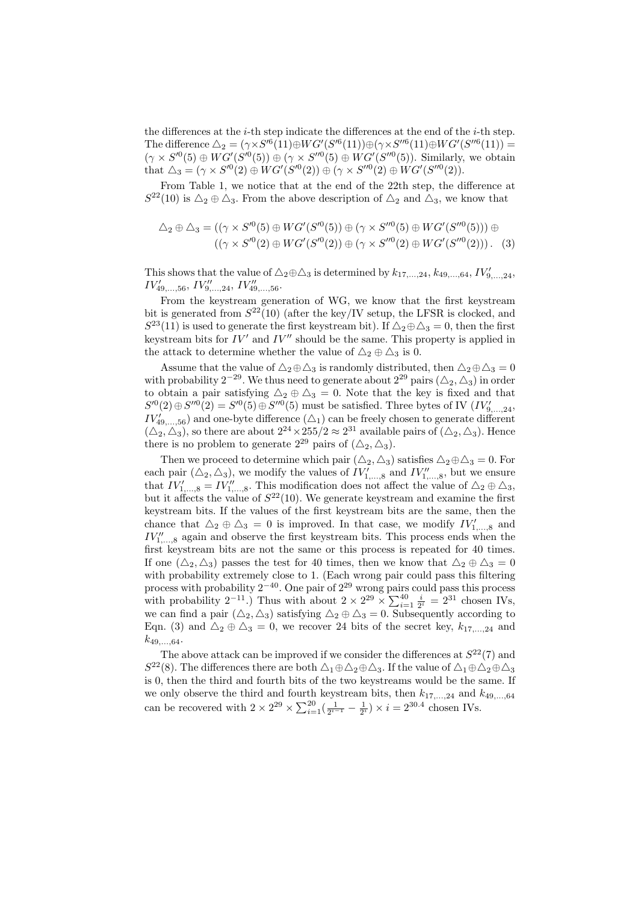the differences at the *i*-th step indicate the differences at the end of the *i*-th step. The difference  $\Delta_2 = (\gamma \times S^{\prime 6}(11) \oplus WG'(S^{\prime 6}(11)) \oplus (\gamma \times S^{\prime \prime 6}(11) \oplus WG'(S^{\prime \prime 6}(11)) =$  $(\gamma \times S^{0}(5) \oplus WG'(S^{0}(5)) \oplus (\gamma \times S^{0}(5) \oplus WG'(S^{0}(5))$ . Similarly, we obtain that  $\Delta_3 = (\gamma \times S^{\prime 0}(2) \oplus WG'(S^{\prime 0}(2)) \oplus (\gamma \times S^{\prime \prime 0}(2) \oplus WG'(S^{\prime \prime 0}(2)).$ 

From Table 1, we notice that at the end of the 22th step, the difference at  $S^{22}(10)$  is  $\Delta_2 \oplus \Delta_3$ . From the above description of  $\Delta_2$  and  $\Delta_3$ , we know that

$$
\Delta_2 \oplus \Delta_3 = ((\gamma \times S^{\prime 0}(5) \oplus WG'(S^{\prime 0}(5)) \oplus (\gamma \times S^{\prime\prime 0}(5) \oplus WG'(S^{\prime\prime 0}(5))) \oplus ((\gamma \times S^{\prime 0}(2) \oplus WG'(S^{\prime 0}(2)) \oplus (\gamma \times S^{\prime\prime 0}(2) \oplus WG'(S^{\prime\prime 0}(2))).
$$
 (3)

This shows that the value of  $\triangle_2 \oplus \triangle_3$  is determined by  $k_{17,\dots,24}$ ,  $k_{49,\dots,64}$ ,  $IV'_{9,\dots,24}$ ,  $IV'_{49,\ldots,56}, IV''_{9,\ldots,24}, IV''_{49,\ldots,56}.$ 

From the keystream generation of WG, we know that the first keystream bit is generated from  $S^{22}(10)$  (after the key/IV setup, the LFSR is clocked, and  $S^{23}(11)$  is used to generate the first keystream bit). If  $\Delta_2 \oplus \Delta_3 = 0$ , then the first keystream bits for  $IV'$  and  $IV''$  should be the same. This property is applied in the attack to determine whether the value of  $\Delta_2 \oplus \Delta_3$  is 0.

Assume that the value of  $\Delta_2 \oplus \Delta_3$  is randomly distributed, then  $\Delta_2 \oplus \Delta_3 = 0$ with probability 2<sup>-29</sup>. We thus need to generate about  $2^{29}$  pairs  $(\triangle_2, \triangle_3)$  in order to obtain a pair satisfying  $\Delta_2 \oplus \Delta_3 = 0$ . Note that the key is fixed and that  $S^{0}(2) \oplus S^{0}(2) = S^{0}(5) \oplus S^{0}(5)$  must be satisfied. Three bytes of IV  $(IV'_{9,...,24},$  $IV'_{49,\ldots,56}$  and one-byte difference  $(\triangle_1)$  can be freely chosen to generate different  $(\Delta_2, \Delta_3)$ , so there are about  $2^{24} \times 255/2 \approx 2^{31}$  available pairs of  $(\Delta_2, \Delta_3)$ . Hence there is no problem to generate  $2^{29}$  pairs of  $(\triangle_2, \triangle_3)$ .

Then we proceed to determine which pair  $(\Delta_2, \Delta_3)$  satisfies  $\Delta_2 \oplus \Delta_3 = 0$ . For each pair  $(\triangle_2, \triangle_3)$ , we modify the values of  $IV'_{1,...,8}$  and  $IV''_{1,...,8}$ , but we ensure that  $IV'_{1,\dots,8} = IV''_{1,\dots,8}$ . This modification does not affect the value of  $\triangle_2 \oplus \triangle_3$ , but it affects the value of  $S^{22}(10)$ . We generate keystream and examine the first keystream bits. If the values of the first keystream bits are the same, then the chance that  $\Delta_2 \oplus \Delta_3 = 0$  is improved. In that case, we modify  $IV'_{1,...,8}$  and  $IV''_{1,\dots,8}$  again and observe the first keystream bits. This process ends when the first keystream bits are not the same or this process is repeated for 40 times. If one  $(\Delta_2, \Delta_3)$  passes the test for 40 times, then we know that  $\Delta_2 \oplus \Delta_3 = 0$ with probability extremely close to 1. (Each wrong pair could pass this filtering process with probability  $2^{-40}$ . One pair of  $2^{29}$  wrong pairs could pass this process process with probability 2<sup>-11</sup>.) Thus with about  $2 \times 2^{29} \times \sum_{i=1}^{40} \frac{i}{2^i} = 2^{31}$  chosen IVs, we can find a pair  $(\Delta_2, \Delta_3)$  satisfying  $\Delta_2 \oplus \Delta_3 = 0$ . Subsequently according to Eqn. (3) and  $\Delta_2 \oplus \Delta_3 = 0$ , we recover 24 bits of the secret key,  $k_{17,...,24}$  and  $k_{49,...64}$ .

The above attack can be improved if we consider the differences at  $S^{22}(7)$  and  $S^{22}(8)$ . The differences there are both  $\Delta_1 \oplus \Delta_2 \oplus \Delta_3$ . If the value of  $\Delta_1 \oplus \Delta_2 \oplus \Delta_3$ is 0, then the third and fourth bits of the two keystreams would be the same. If we only observe the third and fourth keystream bits, then  $k_{17,\dots,24}$  and  $k_{49,\dots,64}$ we only observe the time and fourth  $2 \times 2^{29} \times \sum_{i=1}^{20} (\frac{1}{2^{i-1}} - \frac{1}{2^i}) \times i = 2^{30.4}$  chosen IVs.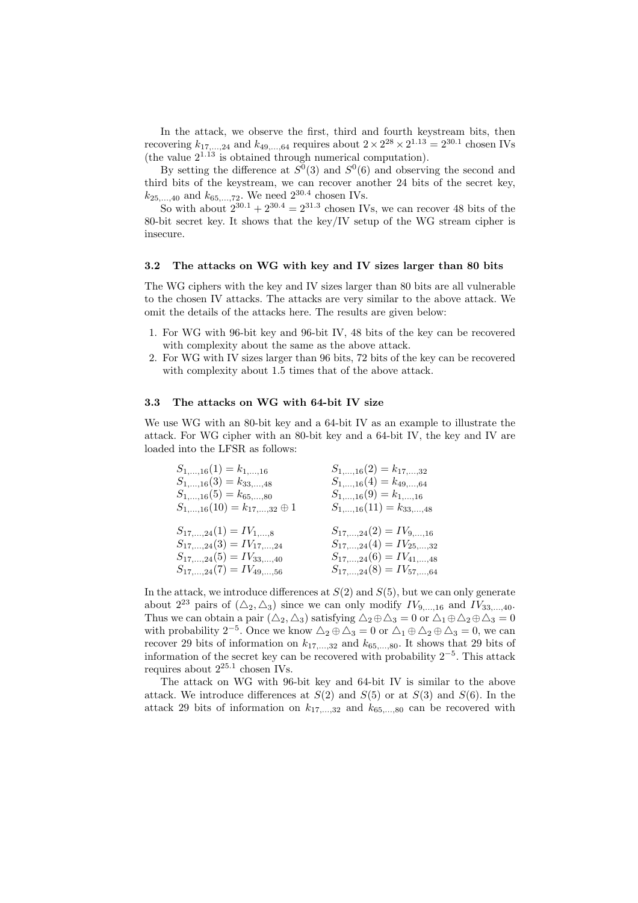In the attack, we observe the first, third and fourth keystream bits, then recovering  $k_{17,\dots,24}$  and  $k_{49,\dots,64}$  requires about  $2 \times 2^{28} \times 2^{1.13} = 2^{30.1}$  chosen IVs (the value  $2^{1.13}$  is obtained through numerical computation).

By setting the difference at  $S^0(3)$  and  $S^0(6)$  and observing the second and third bits of the keystream, we can recover another 24 bits of the secret key,  $k_{25,...,40}$  and  $k_{65,...,72}$ . We need  $2^{30.4}$  chosen IVs.

So with about  $2^{30.1} + 2^{30.4} = 2^{31.3}$  chosen IVs, we can recover 48 bits of the 80-bit secret key. It shows that the key/IV setup of the WG stream cipher is insecure.

### 3.2 The attacks on WG with key and IV sizes larger than 80 bits

The WG ciphers with the key and IV sizes larger than 80 bits are all vulnerable to the chosen IV attacks. The attacks are very similar to the above attack. We omit the details of the attacks here. The results are given below:

- 1. For WG with 96-bit key and 96-bit IV, 48 bits of the key can be recovered with complexity about the same as the above attack.
- 2. For WG with IV sizes larger than 96 bits, 72 bits of the key can be recovered with complexity about 1.5 times that of the above attack.

#### 3.3 The attacks on WG with 64-bit IV size

We use WG with an 80-bit key and a 64-bit IV as an example to illustrate the attack. For WG cipher with an 80-bit key and a 64-bit IV, the key and IV are loaded into the LFSR as follows:

| $S_{1,,16}(1) = k_{1,,16}$              | $S_{1,\dots,16}(2)=k_{17,\dots,32}$    |
|-----------------------------------------|----------------------------------------|
| $S_{1,,16}(3) = k_{33,,48}$             | $S_{1,\dots,16}(4) = k_{49,\dots,64}$  |
| $S_{1,,16}(5) = k_{65,,80}$             | $S_{1,\dots,16}(9) = k_{1,\dots,16}$   |
| $S_{1,,16}(10) = k_{17,,32} \oplus 1$   | $S_{1,\dots,16}(11) = k_{33,\dots,48}$ |
| $S_{17,\dots,24}(1) = IV_{1,\dots,8}$   | $S_{17,,24}(2) = IV_{9,,16}$           |
| $S_{17,\dots,24}(3) = IV_{17,\dots,24}$ | $S_{17,,24}(4) = IV_{25,,32}$          |
| $S_{17,,24}(5) = IV_{33,,40}$           | $S_{17,,24}(6) = IV_{41,,48}$          |
| $S_{17,\dots,24}(7) = IV_{49,\dots,56}$ | $S_{17,,24}(8) = IV_{57,,64}$          |

In the attack, we introduce differences at  $S(2)$  and  $S(5)$ , but we can only generate about  $2^{23}$  pairs of  $(\Delta_2, \Delta_3)$  since we can only modify  $IV_{9,\dots,16}$  and  $IV_{33,\dots,40}$ . Thus we can obtain a pair  $(\Delta_2, \Delta_3)$  satisfying  $\Delta_2 \oplus \Delta_3 = 0$  or  $\Delta_1 \oplus \Delta_2 \oplus \Delta_3 = 0$ with probability 2<sup>-5</sup>. Once we know  $\Delta_2 \oplus \Delta_3 = 0$  or  $\Delta_1 \oplus \Delta_2 \oplus \Delta_3 = 0$ , we can recover 29 bits of information on  $k_{17,...,32}$  and  $k_{65,...,80}$ . It shows that 29 bits of information of the secret key can be recovered with probability 2<sup>−</sup><sup>5</sup> . This attack requires about  $2^{25.1}$  chosen IVs.

The attack on WG with 96-bit key and 64-bit IV is similar to the above attack. We introduce differences at  $S(2)$  and  $S(5)$  or at  $S(3)$  and  $S(6)$ . In the attack 29 bits of information on  $k_{17,\dots,32}$  and  $k_{65,\dots,80}$  can be recovered with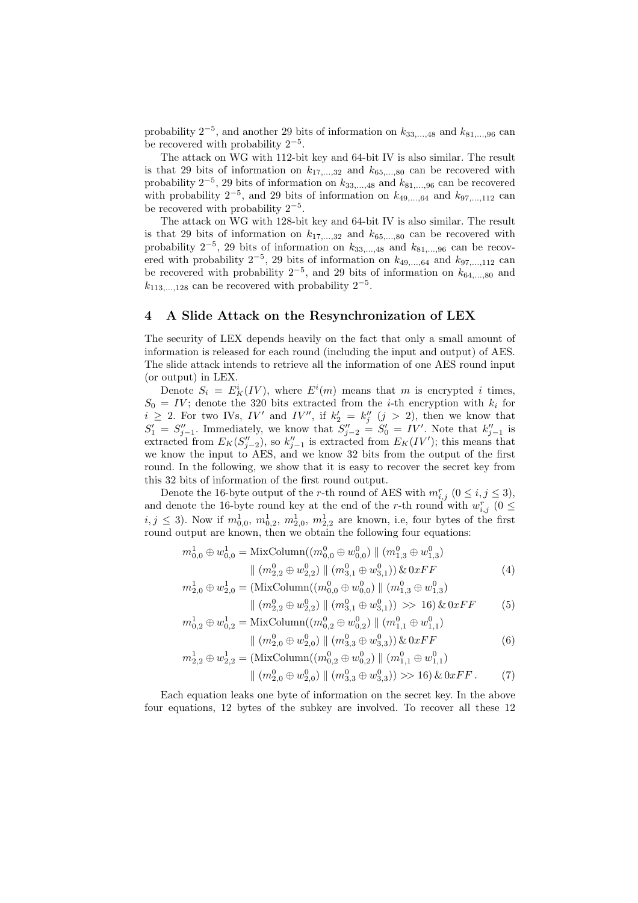probability  $2^{-5}$ , and another 29 bits of information on  $k_{33,\dots,48}$  and  $k_{81,\dots,96}$  can be recovered with probability  $2^{-5}$ .

The attack on WG with 112-bit key and 64-bit IV is also similar. The result is that 29 bits of information on  $k_{17,\dots,32}$  and  $k_{65,\dots,80}$  can be recovered with probability  $2^{-5}$ , 29 bits of information on  $k_{33,\dots,48}$  and  $k_{81,\dots,96}$  can be recovered with probability  $2^{-5}$ , and 29 bits of information on  $k_{49,\dots,64}$  and  $k_{97,\dots,112}$  can be recovered with probability  $2^{-5}$ .

The attack on WG with 128-bit key and 64-bit IV is also similar. The result is that 29 bits of information on  $k_{17,...,32}$  and  $k_{65,...,80}$  can be recovered with probability  $2^{-5}$ , 29 bits of information on  $k_{33,...,48}$  and  $k_{81,...,96}$  can be recovered with probability  $2^{-5}$ , 29 bits of information on  $k_{49,\dots,64}$  and  $k_{97,\dots,112}$  can be recovered with probability  $2^{-5}$ , and 29 bits of information on  $k_{64,...,80}$  and  $k_{113,\ldots,128}$  can be recovered with probability  $2^{-5}$ .

#### 4 A Slide Attack on the Resynchronization of LEX

The security of LEX depends heavily on the fact that only a small amount of information is released for each round (including the input and output) of AES. The slide attack intends to retrieve all the information of one AES round input (or output) in LEX.

Denote  $S_i = E_K^i (IV)$ , where  $E^i(m)$  means that m is encrypted i times,  $S_0 = IV$ ; denote the 320 bits extracted from the *i*-th encryption with  $k_i$  for  $i \geq 2$ . For two IVs, IV' and IV'', if  $k'_2 = k''_j$   $(j > 2)$ , then we know that  $S'_1 = S''_{j-1}$ . Immediately, we know that  $S''_{j-2} = S'_0 = IV'$ . Note that  $k''_{j-1}$  is extracted from  $E_K(S''_{j-2})$ , so  $k''_{j-1}$  is extracted from  $E_K(IV')$ ; this means that we know the input to AES, and we know 32 bits from the output of the first round. In the following, we show that it is easy to recover the secret key from this 32 bits of information of the first round output.

Denote the 16-byte output of the *r*-th round of AES with  $m_{i,j}^r$   $(0 \le i, j \le 3)$ , and denote the 16-byte round key at the end of the r-th round with  $w_{i,j}^r$  ( $0 \leq$  $i, j \leq 3$ ). Now if  $m_{0,0}^1, m_{0,2}^1, m_{2,0}^1, m_{2,2}^1$  are known, i.e, four bytes of the first round output are known, then we obtain the following four equations:

$$
m_{0,0}^{1} \oplus w_{0,0}^{1} = \text{MixColumn}((m_{0,0}^{0} \oplus w_{0,0}^{0}) \parallel (m_{1,3}^{0} \oplus w_{1,3}^{0})
$$

$$
\parallel (m_{2,2}^{0} \oplus w_{2,2}^{0}) \parallel (m_{3,1}^{0} \oplus w_{3,1}^{0})) \& 0xFF
$$
(4)

$$
m_{2,0}^{1} \oplus w_{2,0}^{1} = (\text{MixColumn}((m_{0,0}^{0} \oplus w_{0,0}^{0}) \parallel (m_{1,3}^{0} \oplus w_{1,3}^{0})) \parallel (m_{2,2}^{0} \oplus w_{2,2}^{0}) \parallel (m_{3,1}^{0} \oplus w_{3,1}^{0})) \gg 16) \& 0xFF
$$
 (5)

$$
m_{0,2}^{1} \oplus w_{0,2}^{1} = \text{MixColumn}((m_{0,2}^{0} \oplus w_{0,2}^{0}) \parallel (m_{1,1}^{0} \oplus w_{1,1}^{0}))
$$

$$
\parallel (m_{2,0}^{0} \oplus w_{2,0}^{0}) \parallel (m_{3,3}^{0} \oplus w_{3,3}^{0})) \& 0xFF
$$
(6)

$$
m_{2,2}^1 \oplus w_{2,2}^1 = (\text{MixColumn}((m_{0,2}^0 \oplus w_{0,2}^0) \parallel (m_{1,1}^0 \oplus w_{1,1}^0))
$$
\n
$$
m_{2,2}^1 \oplus w_{2,2}^1 = (\text{MixColumn}((m_{0,2}^0 \oplus w_{0,2}^0) \parallel (m_{1,1}^0 \oplus w_{1,1}^0))
$$

$$
\| (m_{2,0}^0 \oplus w_{2,0}^0) \| (m_{3,3}^0 \oplus w_{3,3}^0) \gg 16) \& 0xFF. \tag{7}
$$

Each equation leaks one byte of information on the secret key. In the above four equations, 12 bytes of the subkey are involved. To recover all these 12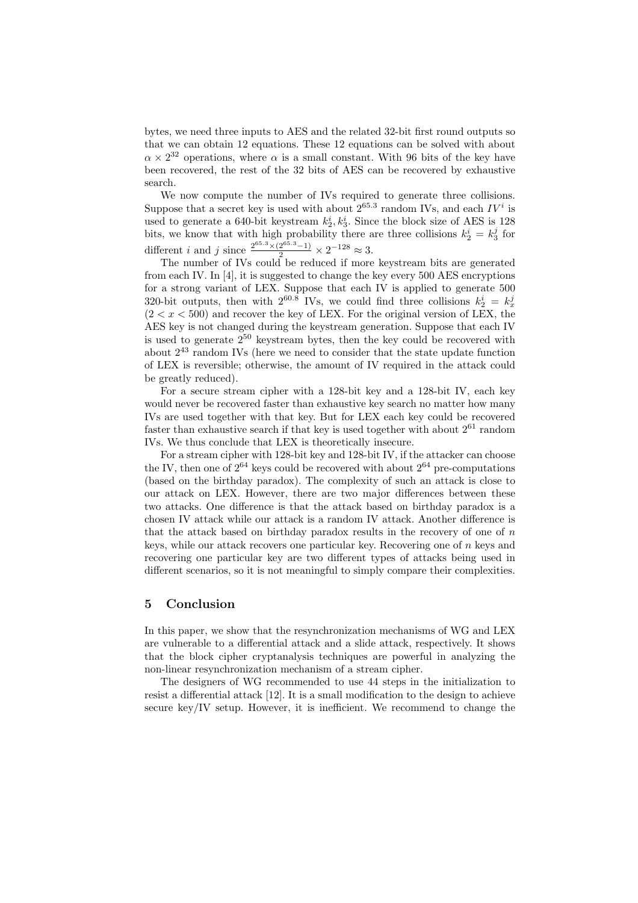bytes, we need three inputs to AES and the related 32-bit first round outputs so that we can obtain 12 equations. These 12 equations can be solved with about  $\alpha \times 2^{32}$  operations, where  $\alpha$  is a small constant. With 96 bits of the key have been recovered, the rest of the 32 bits of AES can be recovered by exhaustive search.

We now compute the number of IVs required to generate three collisions. Suppose that a secret key is used with about  $2^{65.3}$  random IVs, and each  $IV<sup>i</sup>$  is used to generate a 640-bit keystream  $k_2^i, k_3^i$ . Since the block size of AES is 128 bits, we know that with high probability there are three collisions  $k_2^i = k_3^j$  for different *i* and *j* since  $\frac{2^{65.3} \times (2^{65.3} - 1)}{2} \times 2^{-128} \approx 3$ .

The number of IVs could be reduced if more keystream bits are generated from each IV. In [4], it is suggested to change the key every 500 AES encryptions for a strong variant of LEX. Suppose that each IV is applied to generate 500 320-bit outputs, then with  $2^{60.8}$  IVs, we could find three collisions  $k_2^i = k_x^j$  $(2 < x < 500)$  and recover the key of LEX. For the original version of LEX, the AES key is not changed during the keystream generation. Suppose that each IV is used to generate  $2^{50}$  keystream bytes, then the key could be recovered with about  $2^{43}$  random IVs (here we need to consider that the state update function of LEX is reversible; otherwise, the amount of IV required in the attack could be greatly reduced).

For a secure stream cipher with a 128-bit key and a 128-bit IV, each key would never be recovered faster than exhaustive key search no matter how many IVs are used together with that key. But for LEX each key could be recovered faster than exhaustive search if that key is used together with about  $2^{61}$  random IVs. We thus conclude that LEX is theoretically insecure.

For a stream cipher with 128-bit key and 128-bit IV, if the attacker can choose the IV, then one of  $2^{64}$  keys could be recovered with about  $2^{64}$  pre-computations (based on the birthday paradox). The complexity of such an attack is close to our attack on LEX. However, there are two major differences between these two attacks. One difference is that the attack based on birthday paradox is a chosen IV attack while our attack is a random IV attack. Another difference is that the attack based on birthday paradox results in the recovery of one of  $n$ keys, while our attack recovers one particular key. Recovering one of  $n$  keys and recovering one particular key are two different types of attacks being used in different scenarios, so it is not meaningful to simply compare their complexities.

### 5 Conclusion

In this paper, we show that the resynchronization mechanisms of WG and LEX are vulnerable to a differential attack and a slide attack, respectively. It shows that the block cipher cryptanalysis techniques are powerful in analyzing the non-linear resynchronization mechanism of a stream cipher.

The designers of WG recommended to use 44 steps in the initialization to resist a differential attack [12]. It is a small modification to the design to achieve secure key/IV setup. However, it is inefficient. We recommend to change the